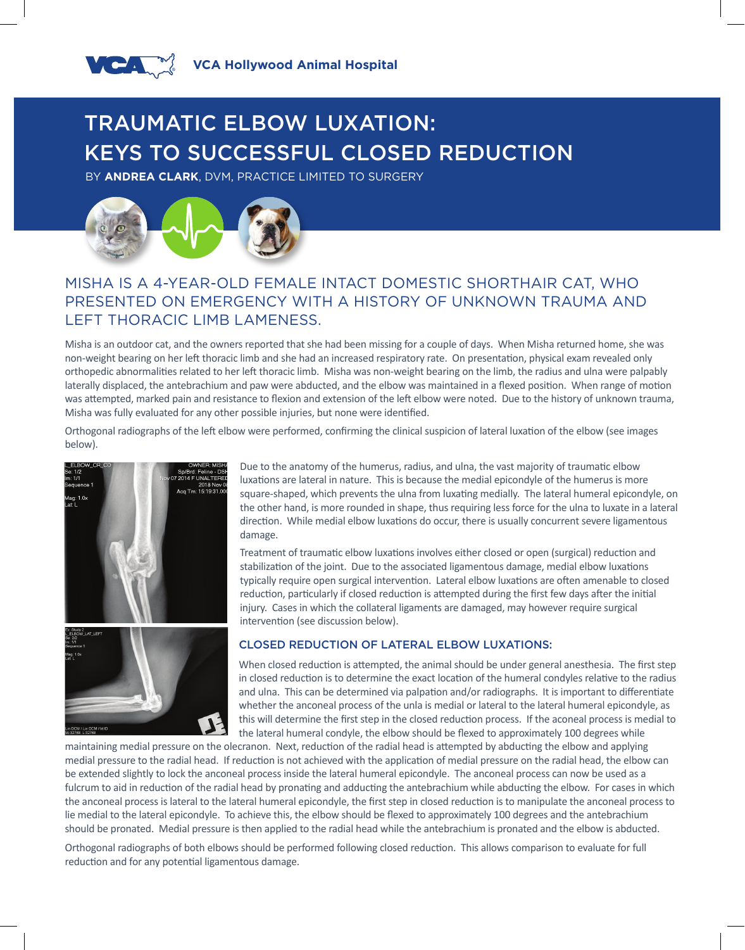

# TRAUMATIC ELBOW LUXATION: KEYS TO SUCCESSFUL CLOSED REDUCTION

BY **ANDREA CLARK**, DVM, PRACTICE LIMITED TO SURGERY



# MISHA IS A 4-YEAR-OLD FEMALE INTACT DOMESTIC SHORTHAIR CAT, WHO PRESENTED ON EMERGENCY WITH A HISTORY OF UNKNOWN TRAUMA AND LEFT THORACIC LIMB LAMENESS.

Misha is an outdoor cat, and the owners reported that she had been missing for a couple of days. When Misha returned home, she was non-weight bearing on her left thoracic limb and she had an increased respiratory rate. On presentation, physical exam revealed only orthopedic abnormalities related to her left thoracic limb. Misha was non-weight bearing on the limb, the radius and ulna were palpably laterally displaced, the antebrachium and paw were abducted, and the elbow was maintained in a flexed position. When range of motion was attempted, marked pain and resistance to flexion and extension of the left elbow were noted. Due to the history of unknown trauma, Misha was fully evaluated for any other possible injuries, but none were identified.

Orthogonal radiographs of the left elbow were performed, confirming the clinical suspicion of lateral luxation of the elbow (see images below).





Due to the anatomy of the humerus, radius, and ulna, the vast majority of traumatic elbow luxations are lateral in nature. This is because the medial epicondyle of the humerus is more square-shaped, which prevents the ulna from luxating medially. The lateral humeral epicondyle, on the other hand, is more rounded in shape, thus requiring less force for the ulna to luxate in a lateral direction. While medial elbow luxations do occur, there is usually concurrent severe ligamentous damage.

Treatment of traumatic elbow luxations involves either closed or open (surgical) reduction and stabilization of the joint. Due to the associated ligamentous damage, medial elbow luxations typically require open surgical intervention. Lateral elbow luxations are often amenable to closed reduction, particularly if closed reduction is attempted during the first few days after the initial injury. Cases in which the collateral ligaments are damaged, may however require surgical intervention (see discussion below).

## CLOSED REDUCTION OF LATERAL ELBOW LUXATIONS:

When closed reduction is attempted, the animal should be under general anesthesia. The first step in closed reduction is to determine the exact location of the humeral condyles relative to the radius and ulna. This can be determined via palpation and/or radiographs. It is important to differentiate whether the anconeal process of the unla is medial or lateral to the lateral humeral epicondyle, as this will determine the first step in the closed reduction process. If the aconeal process is medial to the lateral humeral condyle, the elbow should be flexed to approximately 100 degrees while

maintaining medial pressure on the olecranon. Next, reduction of the radial head is attempted by abducting the elbow and applying medial pressure to the radial head. If reduction is not achieved with the application of medial pressure on the radial head, the elbow can be extended slightly to lock the anconeal process inside the lateral humeral epicondyle. The anconeal process can now be used as a fulcrum to aid in reduction of the radial head by pronating and adducting the antebrachium while abducting the elbow. For cases in which the anconeal process is lateral to the lateral humeral epicondyle, the first step in closed reduction is to manipulate the anconeal process to lie medial to the lateral epicondyle. To achieve this, the elbow should be flexed to approximately 100 degrees and the antebrachium should be pronated. Medial pressure is then applied to the radial head while the antebrachium is pronated and the elbow is abducted.

Orthogonal radiographs of both elbows should be performed following closed reduction. This allows comparison to evaluate for full reduction and for any potential ligamentous damage.